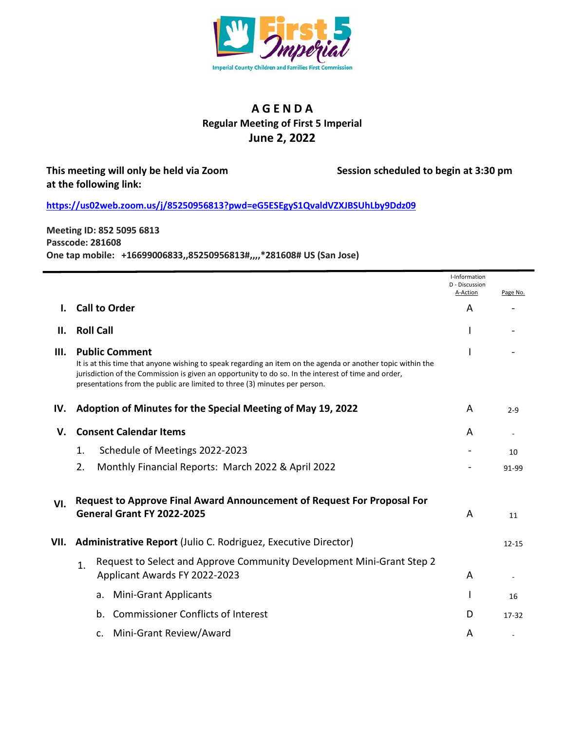

## **A G E N D A Regular Meeting of First 5 Imperial June 2, 2022**

## **This meeting will only be held via Zoom Session scheduled to begin at 3:30 pm at the following link:**

**<https://us02web.zoom.us/j/85250956813?pwd=eG5ESEgyS1QvaldVZXJBSUhLby9Ddz09>**

**Meeting ID: 852 5095 6813 Passcode: 281608 One tap mobile: +16699006833,,85250956813#,,,,\*281608# US (San Jose)**

|      |                                                                                                                                                                                                                                                                                                                           | I-Information<br>D - Discussion |           |
|------|---------------------------------------------------------------------------------------------------------------------------------------------------------------------------------------------------------------------------------------------------------------------------------------------------------------------------|---------------------------------|-----------|
|      |                                                                                                                                                                                                                                                                                                                           | A-Action                        | Page No.  |
|      | <b>Call to Order</b>                                                                                                                                                                                                                                                                                                      | A                               |           |
| Н.   | <b>Roll Call</b>                                                                                                                                                                                                                                                                                                          |                                 |           |
| Ш.   | <b>Public Comment</b><br>It is at this time that anyone wishing to speak regarding an item on the agenda or another topic within the<br>jurisdiction of the Commission is given an opportunity to do so. In the interest of time and order,<br>presentations from the public are limited to three (3) minutes per person. |                                 |           |
| IV.  | Adoption of Minutes for the Special Meeting of May 19, 2022                                                                                                                                                                                                                                                               | A                               | $2 - 9$   |
| V.   | <b>Consent Calendar Items</b>                                                                                                                                                                                                                                                                                             | A                               |           |
|      | Schedule of Meetings 2022-2023<br>1.                                                                                                                                                                                                                                                                                      |                                 | 10        |
|      | 2.<br>Monthly Financial Reports: March 2022 & April 2022                                                                                                                                                                                                                                                                  |                                 | 91-99     |
| VI.  | Request to Approve Final Award Announcement of Request For Proposal For<br>General Grant FY 2022-2025                                                                                                                                                                                                                     | A                               | 11        |
| VII. | Administrative Report (Julio C. Rodriguez, Executive Director)                                                                                                                                                                                                                                                            |                                 | $12 - 15$ |
|      | Request to Select and Approve Community Development Mini-Grant Step 2<br>$\mathbf{1}$ .<br>Applicant Awards FY 2022-2023                                                                                                                                                                                                  | A                               |           |
|      | <b>Mini-Grant Applicants</b><br>a.                                                                                                                                                                                                                                                                                        |                                 | 16        |
|      | <b>Commissioner Conflicts of Interest</b><br>b.                                                                                                                                                                                                                                                                           | D                               | 17-32     |
|      | Mini-Grant Review/Award<br>c.                                                                                                                                                                                                                                                                                             | A                               |           |